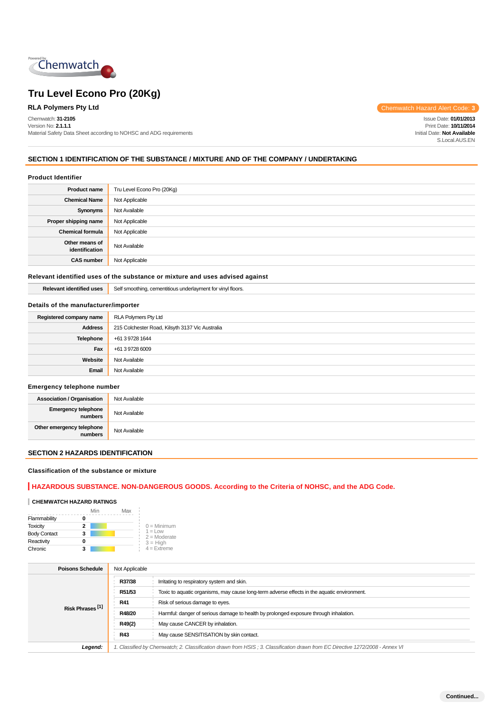

Chemwatch: **31-2105**

Version No: **2.1.1.1** Material Safety Data Sheet according to NOHSC and ADG requirements

**RLA Polymers Pty Ltd** Chemwatch Hazard Alert Code: 3

Issue Date: **01/01/2013** Print Date: **10/11/2014** Initial Date: **Not Available** S.Local.AUS.EN

# **SECTION 1 IDENTIFICATION OF THE SUBSTANCE / MIXTURE AND OF THE COMPANY / UNDERTAKING**

|  | <b>Product Identifier</b> |
|--|---------------------------|
|--|---------------------------|

| <b>Product name</b>              | Tru Level Econo Pro (20Kg) |
|----------------------------------|----------------------------|
| <b>Chemical Name</b>             | Not Applicable             |
| Synonyms                         | Not Available              |
| Proper shipping name             | Not Applicable             |
| <b>Chemical formula</b>          | Not Applicable             |
| Other means of<br>identification | Not Available              |
| <b>CAS number</b>                | Not Applicable             |

#### **Relevant identified uses of the substance or mixture and uses advised against**

| <b>Relevant identified uses</b> | Self smoothing, cementitious underlayment for vinyl floors. |
|---------------------------------|-------------------------------------------------------------|
|---------------------------------|-------------------------------------------------------------|

#### **Details of the manufacturer/importer**

| Registered company name | RLA Polymers Pty Ltd                            |
|-------------------------|-------------------------------------------------|
| <b>Address</b>          | 215 Colchester Road, Kilsyth 3137 Vic Australia |
| <b>Telephone</b>        | +61 3 9728 1644                                 |
| Fax                     | +61 3 9728 6009                                 |
| Website                 | Not Available                                   |
| Email                   | Not Available                                   |

#### **Emergency telephone number**

| <b>Association / Organisation</b>    | Not Available |
|--------------------------------------|---------------|
| Emergency telephone<br>  numbers     | Not Available |
| Other emergency telephone<br>numbers | Not Available |

#### **SECTION 2 HAZARDS IDENTIFICATION**

#### **Classification of the substance or mixture**

# **HAZARDOUS SUBSTANCE. NON-DANGEROUS GOODS. According to the Criteria of NOHSC, and the ADG Code.**

#### **CHEMWATCH HAZARD RATINGS**

|                     | Min | Max |                              |
|---------------------|-----|-----|------------------------------|
| Flammability        |     |     |                              |
| <b>Toxicity</b>     |     |     | $0 =$ Minimum                |
| <b>Body Contact</b> | 3   |     | $1 = 1$ ow<br>$2 =$ Moderate |
| Reactivity          |     |     | $3 = High$                   |
| Chronic             |     |     | $4 =$ Extreme                |

| <b>Poisons Schedule</b>     | Not Applicable                                                                                                                |  |
|-----------------------------|-------------------------------------------------------------------------------------------------------------------------------|--|
| Risk Phrases <sup>[1]</sup> | R37/38<br>Irritating to respiratory system and skin.                                                                          |  |
|                             | R51/53<br>Toxic to aquatic organisms, may cause long-term adverse effects in the aquatic environment.                         |  |
|                             | R41<br>Risk of serious damage to eyes.                                                                                        |  |
|                             | R48/20<br>Harmful: danger of serious damage to health by prolonged exposure through inhalation.                               |  |
|                             | R49(2)<br>May cause CANCER by inhalation.                                                                                     |  |
|                             | <b>R43</b><br>May cause SENSITISATION by skin contact.                                                                        |  |
| Legend:                     | 1. Classified by Chemwatch; 2. Classification drawn from HSIS; 3. Classification drawn from EC Directive 1272/2008 - Annex VI |  |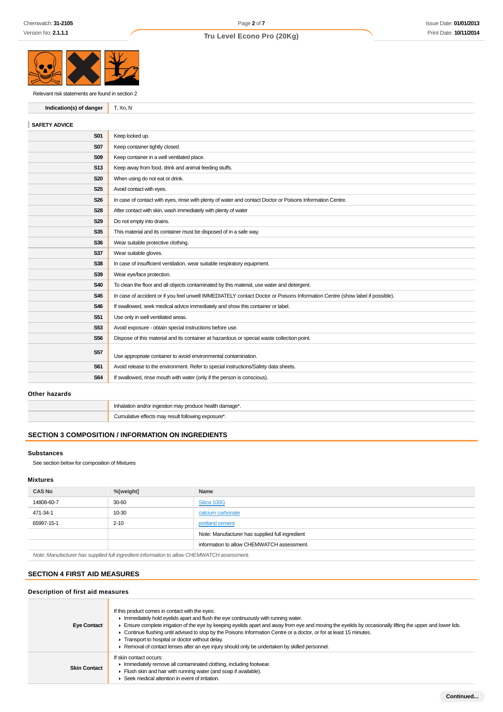

Relevant risk statements are found in section 2

**Indication(s) of danger** T, Xn, N

# **SAFETY ADVICE**

| <b>S01</b> | Keep locked up.                                                                                                              |
|------------|------------------------------------------------------------------------------------------------------------------------------|
| <b>S07</b> | Keep container tightly closed.                                                                                               |
| <b>S09</b> | Keep container in a well ventilated place.                                                                                   |
| <b>S13</b> | Keep away from food, drink and animal feeding stuffs.                                                                        |
| <b>S20</b> | When using do not eat or drink.                                                                                              |
| <b>S25</b> | Avoid contact with eyes.                                                                                                     |
| <b>S26</b> | In case of contact with eyes, rinse with plenty of water and contact Doctor or Poisons Information Centre.                   |
| <b>S28</b> | After contact with skin, wash immediately with plenty of water                                                               |
| <b>S29</b> | Do not empty into drains.                                                                                                    |
| S35        | This material and its container must be disposed of in a safe way.                                                           |
| S36        | Wear suitable protective clothing.                                                                                           |
| <b>S37</b> | Wear suitable gloves.                                                                                                        |
| <b>S38</b> | In case of insufficient ventilation, wear suitable respiratory equipment.                                                    |
| S39        | Wear eye/face protection.                                                                                                    |
| <b>S40</b> | To clean the floor and all objects contaminated by this material, use water and detergent.                                   |
| <b>S45</b> | In case of accident or if you feel unwell IMMEDIATELY contact Doctor or Poisons Information Centre (show label if possible). |
| <b>S46</b> | If swallowed, seek medical advice immediately and show this container or label.                                              |
| <b>S51</b> | Use only in well ventilated areas.                                                                                           |
| <b>S53</b> | Avoid exposure - obtain special instructions before use.                                                                     |
| <b>S56</b> | Dispose of this material and its container at hazardous or special waste collection point.                                   |
| <b>S57</b> | Use appropriate container to avoid environmental contamination.                                                              |
| <b>S61</b> | Avoid release to the environment. Refer to special instructions/Safety data sheets.                                          |
| <b>S64</b> | If swallowed, rinse mouth with water (only if the person is conscious).                                                      |
|            |                                                                                                                              |

#### **Other hazards**

| n and/or ingestion may produce health damage.                        |
|----------------------------------------------------------------------|
| lative effects may result following exposure <sup>*</sup> .<br>`umul |

# **SECTION 3 COMPOSITION / INFORMATION ON INGREDIENTS**

#### **Substances**

See section below for composition of Mixtures

#### **Mixtures**

| <b>CAS No</b>                                                                              | %[weight] | Name                                            |
|--------------------------------------------------------------------------------------------|-----------|-------------------------------------------------|
| 14808-60-7                                                                                 | 30-60     | Silica 100G                                     |
| 471-34-1                                                                                   | 10-30     | calcium carbonate                               |
| 65997-15-1                                                                                 | $2 - 10$  | portland cement                                 |
|                                                                                            |           | Note: Manufacturer has supplied full ingredient |
|                                                                                            |           | information to allow CHEMWATCH assessment.      |
| Note: Monufacturer has supplied full incredient information to allow CHEMIMATCH assessment |           |                                                 |

Note: Manufacturer has supplied full ingredient information to allow CHEMWATCH assessment.

# **SECTION 4 FIRST AID MEASURES**

# **Description of first aid measures**

| <b>Eye Contact</b>  | If this product comes in contact with the eyes:<br>$\blacktriangleright$ Immediately hold eyelids apart and flush the eye continuously with running water.<br>Ensure complete irrigation of the eye by keeping eyelids apart and away from eye and moving the eyelids by occasionally lifting the upper and lower lids.<br>• Continue flushing until advised to stop by the Poisons Information Centre or a doctor, or for at least 15 minutes.<br>Transport to hospital or doctor without delay.<br>► Removal of contact lenses after an eye injury should only be undertaken by skilled personnel. |
|---------------------|------------------------------------------------------------------------------------------------------------------------------------------------------------------------------------------------------------------------------------------------------------------------------------------------------------------------------------------------------------------------------------------------------------------------------------------------------------------------------------------------------------------------------------------------------------------------------------------------------|
| <b>Skin Contact</b> | If skin contact occurs:<br>In mediately remove all contaminated clothing, including footwear.<br>Flush skin and hair with running water (and soap if available).<br>▶ Seek medical attention in event of irritation.                                                                                                                                                                                                                                                                                                                                                                                 |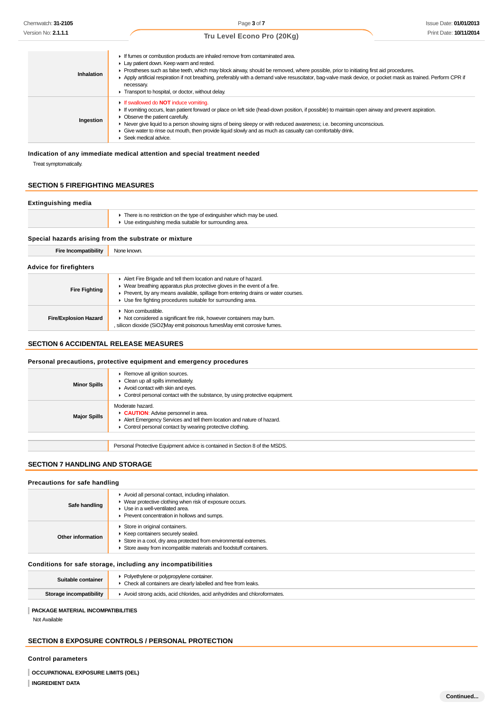| Inhalation | If fumes or combustion products are inhaled remove from contaminated area.<br>Lay patient down. Keep warm and rested.<br>► Prostheses such as false teeth, which may block airway, should be removed, where possible, prior to initiating first aid procedures.<br>Apply artificial respiration if not breathing, preferably with a demand valve resuscitator, bag-valve mask device, or pocket mask as trained. Perform CPR if                                                                |
|------------|------------------------------------------------------------------------------------------------------------------------------------------------------------------------------------------------------------------------------------------------------------------------------------------------------------------------------------------------------------------------------------------------------------------------------------------------------------------------------------------------|
|            | necessary.<br>Transport to hospital, or doctor, without delay.                                                                                                                                                                                                                                                                                                                                                                                                                                 |
| Ingestion  | If swallowed do <b>NOT</b> induce vomiting.<br>If vomiting occurs, lean patient forward or place on left side (head-down position, if possible) to maintain open airway and prevent aspiration.<br>• Observe the patient carefully.<br>▶ Never give liquid to a person showing signs of being sleepy or with reduced awareness; i.e. becoming unconscious.<br>Give water to rinse out mouth, then provide liquid slowly and as much as casualty can comfortably drink.<br>Seek medical advice. |

#### **Indication of any immediate medical attention and special treatment needed**

Treat symptomatically.

# **SECTION 5 FIREFIGHTING MEASURES**

# **Extinguishing media**  $\blacktriangleright$  There is no restriction on the type of extinguisher which may be used. Use extinguishing media suitable for surrounding area.

#### **Special hazards arising from the substrate or mixture**

**Fire Incompatibility** None known.

#### **Advice for firefighters**

| <b>Fire Fighting</b>         | Alert Fire Brigade and tell them location and nature of hazard.<br>• Wear breathing apparatus plus protective gloves in the event of a fire.<br>Prevent, by any means available, spillage from entering drains or water courses.<br>• Use fire fighting procedures suitable for surrounding area. |
|------------------------------|---------------------------------------------------------------------------------------------------------------------------------------------------------------------------------------------------------------------------------------------------------------------------------------------------|
| <b>Fire/Explosion Hazard</b> | $\blacktriangleright$ Non combustible.<br>Not considered a significant fire risk, however containers may burn.<br>, silicon dioxide (SiO2) May emit poisonous fumes May emit corrosive fumes.                                                                                                     |

#### **SECTION 6 ACCIDENTAL RELEASE MEASURES**

#### **Personal precautions, protective equipment and emergency procedures**

| <b>Minor Spills</b> | Remove all ignition sources.<br>$\triangleright$ Clean up all spills immediately.<br>Avoid contact with skin and eyes.<br>Control personal contact with the substance, by using protective equipment. |
|---------------------|-------------------------------------------------------------------------------------------------------------------------------------------------------------------------------------------------------|
| <b>Major Spills</b> | Moderate hazard.<br>CAUTION: Advise personnel in area.<br>Alert Emergency Services and tell them location and nature of hazard.<br>• Control personal contact by wearing protective clothing.         |
|                     |                                                                                                                                                                                                       |
|                     | Personal Protective Equipment advice is contained in Section 8 of the MSDS.                                                                                                                           |

# **SECTION 7 HANDLING AND STORAGE**

#### **Precautions for safe handling**

| Safe handling     | Avoid all personal contact, including inhalation.<br>▶ Wear protective clothing when risk of exposure occurs.<br>Use in a well-ventilated area.<br>Prevent concentration in hollows and sumps.              |
|-------------------|-------------------------------------------------------------------------------------------------------------------------------------------------------------------------------------------------------------|
| Other information | Store in original containers.<br>▶ Keep containers securely sealed.<br>Store in a cool, dry area protected from environmental extremes.<br>Store away from incompatible materials and foodstuff containers. |

#### **Conditions for safe storage, including any incompatibilities**

| ▶ Check all containers are clearly labelled and free from leaks.                                   |  |
|----------------------------------------------------------------------------------------------------|--|
| Storage incompatibility<br>Avoid strong acids, acid chlorides, acid anhydrides and chloroformates. |  |

# **PACKAGE MATERIAL INCOMPATIBILITIES**

Not Available

#### **SECTION 8 EXPOSURE CONTROLS / PERSONAL PROTECTION**

#### **Control parameters**

**OCCUPATIONAL EXPOSURE LIMITS (OEL)**

```
INGREDIENT DATA
```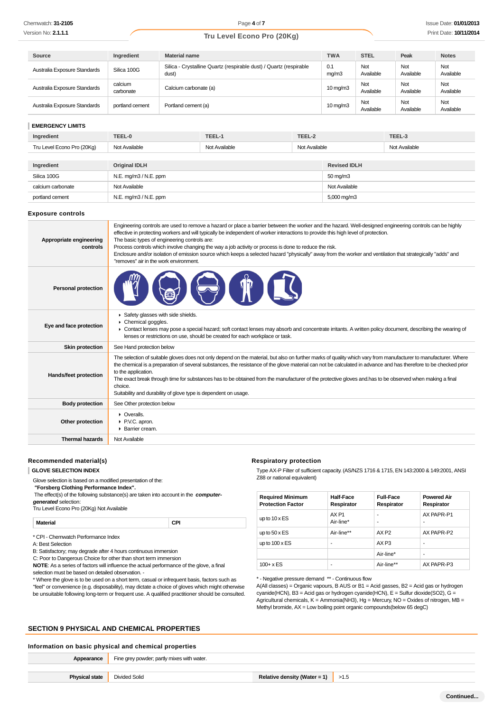| Source                       | Ingredient           | <b>Material name</b>                                                        | <b>TWA</b>        | <b>STEL</b>      | Peak             | <b>Notes</b>     |
|------------------------------|----------------------|-----------------------------------------------------------------------------|-------------------|------------------|------------------|------------------|
| Australia Exposure Standards | Silica 100G          | Silica - Crystalline Quartz (respirable dust) / Quartz (respirable<br>dust) | 0.1<br>mg/m3      | Not<br>Available | Not<br>Available | Not<br>Available |
| Australia Exposure Standards | calcium<br>carbonate | Calcium carbonate (a)                                                       | $10 \text{ mg/m}$ | Not<br>Available | Not<br>Available | Not<br>Available |
| Australia Exposure Standards | portland cement      | Portland cement (a)                                                         | $10 \text{ mg/m}$ | Not<br>Available | Not<br>Available | Not<br>Available |

#### **EMERGENCY LIMITS**

| _________________________  |                                                 |        |                         |                   |        |  |
|----------------------------|-------------------------------------------------|--------|-------------------------|-------------------|--------|--|
| Ingredient                 | TEEL-0                                          | TEEL-1 | TEEL-2                  |                   | TEEL-3 |  |
| Tru Level Econo Pro (20Kg) | Not Available<br>Not Available<br>Not Available |        |                         | Not Available     |        |  |
|                            |                                                 |        |                         |                   |        |  |
| Ingredient                 | <b>Original IDLH</b>                            |        | <b>Revised IDLH</b>     |                   |        |  |
| Silica 100G                | $N.E.$ mg/m $3/N.E.$ ppm                        |        |                         | $50 \text{ mg/m}$ |        |  |
| calcium carbonate          | Not Available                                   |        |                         | Not Available     |        |  |
| portland cement            | N.E. $mq/m3 / N.E.$ ppm                         |        | $5,000 \,\mathrm{mg/m}$ |                   |        |  |

#### **Exposure controls**

| Chemwatch: 31-2105                                                                                                                                                                                                                                                                                                                                         |                                                                                        |                                                 |                                                                                                                                                                                                                                                                                                                                                                                                                                                                                                                                                                       | Page 4 of 7                                                                             |                                                                                                                                                                                                                                                                                                                                                                                                           |                               |                    |                  |                          | <b>Issue Date: 01/01/20</b> |
|------------------------------------------------------------------------------------------------------------------------------------------------------------------------------------------------------------------------------------------------------------------------------------------------------------------------------------------------------------|----------------------------------------------------------------------------------------|-------------------------------------------------|-----------------------------------------------------------------------------------------------------------------------------------------------------------------------------------------------------------------------------------------------------------------------------------------------------------------------------------------------------------------------------------------------------------------------------------------------------------------------------------------------------------------------------------------------------------------------|-----------------------------------------------------------------------------------------|-----------------------------------------------------------------------------------------------------------------------------------------------------------------------------------------------------------------------------------------------------------------------------------------------------------------------------------------------------------------------------------------------------------|-------------------------------|--------------------|------------------|--------------------------|-----------------------------|
| Version No: <b>2.1.1.1</b>                                                                                                                                                                                                                                                                                                                                 |                                                                                        |                                                 | Tru Level Econo Pro (20Kg)                                                                                                                                                                                                                                                                                                                                                                                                                                                                                                                                            |                                                                                         |                                                                                                                                                                                                                                                                                                                                                                                                           |                               |                    |                  |                          | Print Date: 10/11/20        |
|                                                                                                                                                                                                                                                                                                                                                            |                                                                                        |                                                 |                                                                                                                                                                                                                                                                                                                                                                                                                                                                                                                                                                       |                                                                                         |                                                                                                                                                                                                                                                                                                                                                                                                           |                               |                    |                  |                          |                             |
| <b>Source</b>                                                                                                                                                                                                                                                                                                                                              | Ingredient                                                                             | <b>Material name</b>                            | Silica - Crystalline Quartz (respirable dust) / Quartz (respirable                                                                                                                                                                                                                                                                                                                                                                                                                                                                                                    |                                                                                         |                                                                                                                                                                                                                                                                                                                                                                                                           | <b>TWA</b><br>0.1             | <b>STEL</b><br>Not | Peak<br>Not      |                          | <b>Notes</b><br>Not         |
| Australia Exposure Standards                                                                                                                                                                                                                                                                                                                               | Silica 100G                                                                            | dust)                                           |                                                                                                                                                                                                                                                                                                                                                                                                                                                                                                                                                                       |                                                                                         |                                                                                                                                                                                                                                                                                                                                                                                                           | mg/m3                         | Available          | Available        |                          | Available                   |
| Australia Exposure Standards                                                                                                                                                                                                                                                                                                                               | calcium<br>carbonate                                                                   | Calcium carbonate (a)                           |                                                                                                                                                                                                                                                                                                                                                                                                                                                                                                                                                                       |                                                                                         |                                                                                                                                                                                                                                                                                                                                                                                                           | $10 \text{ mg/m}$             | Not<br>Available   | Not<br>Available |                          | Not<br>Available            |
| Australia Exposure Standards                                                                                                                                                                                                                                                                                                                               | portland cement                                                                        | Portland cement (a)                             |                                                                                                                                                                                                                                                                                                                                                                                                                                                                                                                                                                       |                                                                                         |                                                                                                                                                                                                                                                                                                                                                                                                           | $10 \text{ mg/m}$             | Not<br>Available   | Not<br>Available |                          | Not<br>Available            |
| <b>EMERGENCY LIMITS</b>                                                                                                                                                                                                                                                                                                                                    |                                                                                        |                                                 |                                                                                                                                                                                                                                                                                                                                                                                                                                                                                                                                                                       |                                                                                         |                                                                                                                                                                                                                                                                                                                                                                                                           |                               |                    |                  |                          |                             |
| Ingredient                                                                                                                                                                                                                                                                                                                                                 | TEEL-0                                                                                 |                                                 | TEEL-1                                                                                                                                                                                                                                                                                                                                                                                                                                                                                                                                                                |                                                                                         | TEEL-2                                                                                                                                                                                                                                                                                                                                                                                                    |                               |                    | TEEL-3           |                          |                             |
| Tru Level Econo Pro (20Kg)                                                                                                                                                                                                                                                                                                                                 | Not Available                                                                          | Not Available<br>Not Available<br>Not Available |                                                                                                                                                                                                                                                                                                                                                                                                                                                                                                                                                                       |                                                                                         |                                                                                                                                                                                                                                                                                                                                                                                                           |                               |                    |                  |                          |                             |
| Ingredient                                                                                                                                                                                                                                                                                                                                                 | Original IDLH                                                                          | <b>Revised IDLH</b>                             |                                                                                                                                                                                                                                                                                                                                                                                                                                                                                                                                                                       |                                                                                         |                                                                                                                                                                                                                                                                                                                                                                                                           |                               |                    |                  |                          |                             |
| Silica 100G                                                                                                                                                                                                                                                                                                                                                | N.E. mg/m3 / N.E. ppm                                                                  |                                                 |                                                                                                                                                                                                                                                                                                                                                                                                                                                                                                                                                                       |                                                                                         |                                                                                                                                                                                                                                                                                                                                                                                                           | 50 mg/m3                      |                    |                  |                          |                             |
| calcium carbonate                                                                                                                                                                                                                                                                                                                                          | Not Available                                                                          |                                                 |                                                                                                                                                                                                                                                                                                                                                                                                                                                                                                                                                                       |                                                                                         | Not Available                                                                                                                                                                                                                                                                                                                                                                                             |                               |                    |                  |                          |                             |
| portland cement                                                                                                                                                                                                                                                                                                                                            | N.E. mg/m3 / N.E. ppm                                                                  |                                                 |                                                                                                                                                                                                                                                                                                                                                                                                                                                                                                                                                                       |                                                                                         |                                                                                                                                                                                                                                                                                                                                                                                                           | 5,000 mg/m3                   |                    |                  |                          |                             |
| <b>Exposure controls</b>                                                                                                                                                                                                                                                                                                                                   |                                                                                        |                                                 |                                                                                                                                                                                                                                                                                                                                                                                                                                                                                                                                                                       |                                                                                         |                                                                                                                                                                                                                                                                                                                                                                                                           |                               |                    |                  |                          |                             |
| Appropriate engineering<br>controls                                                                                                                                                                                                                                                                                                                        | The basic types of engineering controls are:<br>"removes" air in the work environment. |                                                 | Engineering controls are used to remove a hazard or place a barrier between the worker and the hazard. Well-designed engineering controls can be highly<br>effective in protecting workers and will typically be independent of worker interactions to provide this high level of protection.<br>Process controls which involve changing the way a job activity or process is done to reduce the risk.<br>Enclosure and/or isolation of emission source which keeps a selected hazard "physically" away from the worker and ventilation that strategically "adds" and |                                                                                         |                                                                                                                                                                                                                                                                                                                                                                                                           |                               |                    |                  |                          |                             |
| <b>Personal protection</b>                                                                                                                                                                                                                                                                                                                                 |                                                                                        |                                                 |                                                                                                                                                                                                                                                                                                                                                                                                                                                                                                                                                                       |                                                                                         |                                                                                                                                                                                                                                                                                                                                                                                                           |                               |                    |                  |                          |                             |
| Eye and face protection                                                                                                                                                                                                                                                                                                                                    | Chemical goggles.                                                                      | Safety glasses with side shields.               | ▶ Contact lenses may pose a special hazard; soft contact lenses may absorb and concentrate irritants. A written policy document, describing the wearing of<br>lenses or restrictions on use, should be created for each workplace or task.                                                                                                                                                                                                                                                                                                                            |                                                                                         |                                                                                                                                                                                                                                                                                                                                                                                                           |                               |                    |                  |                          |                             |
| <b>Skin protection</b>                                                                                                                                                                                                                                                                                                                                     | See Hand protection below                                                              |                                                 |                                                                                                                                                                                                                                                                                                                                                                                                                                                                                                                                                                       |                                                                                         |                                                                                                                                                                                                                                                                                                                                                                                                           |                               |                    |                  |                          |                             |
| Hands/feet protection                                                                                                                                                                                                                                                                                                                                      | to the application.<br>choice.                                                         |                                                 | The selection of suitable gloves does not only depend on the material, but also on further marks of quality which vary from manufacturer to manufacturer. Where<br>the chemical is a preparation of several substances, the resistance of the glove material can not be calculated in advance and has therefore to be checked prior<br>The exact break through time for substances has to be obtained from the manufacturer of the protective gloves and has to be observed when making a final<br>Suitability and durability of glove type is dependent on usage.    |                                                                                         |                                                                                                                                                                                                                                                                                                                                                                                                           |                               |                    |                  |                          |                             |
| <b>Body protection</b>                                                                                                                                                                                                                                                                                                                                     | See Other protection below                                                             |                                                 |                                                                                                                                                                                                                                                                                                                                                                                                                                                                                                                                                                       |                                                                                         |                                                                                                                                                                                                                                                                                                                                                                                                           |                               |                    |                  |                          |                             |
| Other protection                                                                                                                                                                                                                                                                                                                                           | • Overalls.<br>P.V.C. apron.<br>Barrier cream.                                         |                                                 |                                                                                                                                                                                                                                                                                                                                                                                                                                                                                                                                                                       |                                                                                         |                                                                                                                                                                                                                                                                                                                                                                                                           |                               |                    |                  |                          |                             |
| <b>Thermal hazards</b>                                                                                                                                                                                                                                                                                                                                     | Not Available                                                                          |                                                 |                                                                                                                                                                                                                                                                                                                                                                                                                                                                                                                                                                       |                                                                                         |                                                                                                                                                                                                                                                                                                                                                                                                           |                               |                    |                  |                          |                             |
| Recommended material(s)<br><b>GLOVE SELECTION INDEX</b><br>Glove selection is based on a modified presentation of the:<br>"Forsberg Clothing Performance Index".<br>The effect(s) of the following substance(s) are taken into account in the computer-                                                                                                    |                                                                                        |                                                 |                                                                                                                                                                                                                                                                                                                                                                                                                                                                                                                                                                       | <b>Respiratory protection</b><br>Z88 or national equivalent)<br><b>Required Minimum</b> | Type AX-P Filter of sufficient capacity. (AS/NZS 1716 & 1715, EN 143:2000 & 149:2001, ANSI                                                                                                                                                                                                                                                                                                                | <b>Half-Face</b>              |                    | <b>Full-Face</b> |                          | <b>Powered Air</b>          |
| generated selection:<br>Tru Level Econo Pro (20Kg) Not Available                                                                                                                                                                                                                                                                                           |                                                                                        |                                                 |                                                                                                                                                                                                                                                                                                                                                                                                                                                                                                                                                                       | <b>Protection Factor</b>                                                                |                                                                                                                                                                                                                                                                                                                                                                                                           | Respirator                    |                    | Respirator       |                          | Respirator                  |
| Material                                                                                                                                                                                                                                                                                                                                                   |                                                                                        | CPI                                             |                                                                                                                                                                                                                                                                                                                                                                                                                                                                                                                                                                       | up to $10 \times ES$                                                                    |                                                                                                                                                                                                                                                                                                                                                                                                           | AX <sub>P1</sub><br>Air-line* | $\sim$             |                  |                          | AX PAPR-P1                  |
|                                                                                                                                                                                                                                                                                                                                                            |                                                                                        |                                                 |                                                                                                                                                                                                                                                                                                                                                                                                                                                                                                                                                                       | up to $50 \times ES$                                                                    |                                                                                                                                                                                                                                                                                                                                                                                                           | Air-line**                    | AX <sub>P2</sub>   |                  |                          | AX PAPR-P2                  |
| * CPI - Chemwatch Performance Index<br>A: Best Selection                                                                                                                                                                                                                                                                                                   |                                                                                        |                                                 |                                                                                                                                                                                                                                                                                                                                                                                                                                                                                                                                                                       | up to $100 \times ES$                                                                   |                                                                                                                                                                                                                                                                                                                                                                                                           |                               | AX <sub>P3</sub>   |                  | $\overline{\phantom{a}}$ |                             |
| B: Satisfactory; may degrade after 4 hours continuous immersion                                                                                                                                                                                                                                                                                            |                                                                                        |                                                 |                                                                                                                                                                                                                                                                                                                                                                                                                                                                                                                                                                       |                                                                                         |                                                                                                                                                                                                                                                                                                                                                                                                           |                               |                    | Air-line*        | $\sim$                   |                             |
| C: Poor to Dangerous Choice for other than short term immersion<br>NOTE: As a series of factors will influence the actual performance of the glove, a final                                                                                                                                                                                                |                                                                                        |                                                 | $100 + x ES$                                                                                                                                                                                                                                                                                                                                                                                                                                                                                                                                                          |                                                                                         |                                                                                                                                                                                                                                                                                                                                                                                                           |                               | Air-line**         |                  | AX PAPR-P3               |                             |
| selection must be based on detailed observation. -<br>* Where the glove is to be used on a short term, casual or infrequent basis, factors such as<br>"feel" or convenience (e.g. disposability), may dictate a choice of gloves which might otherwise<br>be unsuitable following long-term or frequent use. A qualified practitioner should be consulted. |                                                                                        |                                                 |                                                                                                                                                                                                                                                                                                                                                                                                                                                                                                                                                                       |                                                                                         | * - Negative pressure demand ** - Continuous flow<br>$A(AII$ classes) = Organic vapours, B AUS or B1 = Acid gasses, B2 = Acid gas or hydrogen<br>cyanide(HCN), B3 = Acid gas or hydrogen cyanide(HCN), $E =$ Sulfur dioxide(SO2), G =<br>Agricultural chemicals, K = Ammonia(NH3), Hg = Mercury, NO = Oxides of nitrogen, MB =<br>Methyl bromide, AX = Low boiling point organic compounds(below 65 degC) |                               |                    |                  |                          |                             |
| <b>SECTION 9 PHYSICAL AND CHEMICAL PROPERTIES</b>                                                                                                                                                                                                                                                                                                          |                                                                                        |                                                 |                                                                                                                                                                                                                                                                                                                                                                                                                                                                                                                                                                       |                                                                                         |                                                                                                                                                                                                                                                                                                                                                                                                           |                               |                    |                  |                          |                             |
| Information on basic physical and chemical properties                                                                                                                                                                                                                                                                                                      |                                                                                        |                                                 |                                                                                                                                                                                                                                                                                                                                                                                                                                                                                                                                                                       |                                                                                         |                                                                                                                                                                                                                                                                                                                                                                                                           |                               |                    |                  |                          |                             |
| Appearance                                                                                                                                                                                                                                                                                                                                                 | Fine grey powder; partly mixes with water.                                             |                                                 |                                                                                                                                                                                                                                                                                                                                                                                                                                                                                                                                                                       |                                                                                         |                                                                                                                                                                                                                                                                                                                                                                                                           |                               |                    |                  |                          |                             |
| <b>Physical state</b>                                                                                                                                                                                                                                                                                                                                      | <b>Divided Solid</b>                                                                   |                                                 |                                                                                                                                                                                                                                                                                                                                                                                                                                                                                                                                                                       |                                                                                         | Relative density (Water = 1)                                                                                                                                                                                                                                                                                                                                                                              | >1.5                          |                    |                  |                          |                             |
|                                                                                                                                                                                                                                                                                                                                                            |                                                                                        |                                                 |                                                                                                                                                                                                                                                                                                                                                                                                                                                                                                                                                                       |                                                                                         |                                                                                                                                                                                                                                                                                                                                                                                                           |                               |                    |                  |                          |                             |

#### **Recommended material(s)**

#### **Respiratory protection**

| <b>Required Minimum</b><br><b>Protection Factor</b> | Half-Face<br>Respirator       | <b>Full-Face</b><br>Respirator | <b>Powered Air</b><br>Respirator |
|-----------------------------------------------------|-------------------------------|--------------------------------|----------------------------------|
| up to $10 \times ES$                                | AX <sub>P1</sub><br>Air-line* |                                | AX PAPR-P1<br>۰                  |
| up to $50 \times ES$                                | Air-line**                    | AX <sub>P2</sub>               | AX PAPR-P2                       |
| up to $100 \times ES$                               | ۰                             | AX <sub>P3</sub>               | ۰                                |
|                                                     |                               | Air-line*                      | ۰                                |
| $100 + x ES$                                        | ۰                             | Air-line**                     | AX PAPR-P3                       |

#### **SECTION 9 PHYSICAL AND CHEMICAL PROPERTIES**

#### **Information on basic physical and chemical properties**

| Appearance            | Fine grey powder; partly mixes with water. |                              |      |
|-----------------------|--------------------------------------------|------------------------------|------|
|                       |                                            |                              |      |
| <b>Physical state</b> | <b>Divided Solid</b>                       | Relative density (Water = 1) | >1.5 |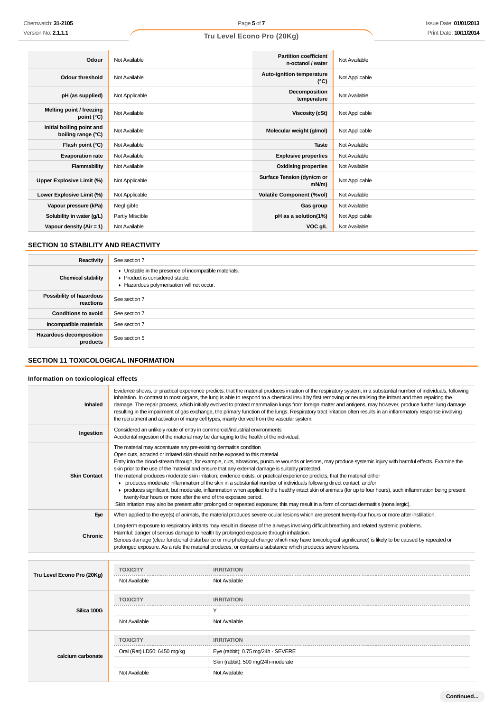| Chemwatch: 31-2105                                                                  |                                                                                                                                                                                                                     | Page 5 of 7                                                                                                                                                                                                                                                                                                                                                                                                                                                                                                    | <b>Issue Date: 01/01/201</b>                                                                                                                                                                                                                                                                                                  |  |  |  |  |  |
|-------------------------------------------------------------------------------------|---------------------------------------------------------------------------------------------------------------------------------------------------------------------------------------------------------------------|----------------------------------------------------------------------------------------------------------------------------------------------------------------------------------------------------------------------------------------------------------------------------------------------------------------------------------------------------------------------------------------------------------------------------------------------------------------------------------------------------------------|-------------------------------------------------------------------------------------------------------------------------------------------------------------------------------------------------------------------------------------------------------------------------------------------------------------------------------|--|--|--|--|--|
| Version No: <b>2.1.1.1</b>                                                          |                                                                                                                                                                                                                     | Tru Level Econo Pro (20Kg)                                                                                                                                                                                                                                                                                                                                                                                                                                                                                     | Print Date: 10/11/201                                                                                                                                                                                                                                                                                                         |  |  |  |  |  |
| Odour                                                                               | Not Available                                                                                                                                                                                                       | <b>Partition coefficient</b><br>n-octanol / water                                                                                                                                                                                                                                                                                                                                                                                                                                                              | Not Available                                                                                                                                                                                                                                                                                                                 |  |  |  |  |  |
| Odour threshold                                                                     | Not Available                                                                                                                                                                                                       | Auto-ignition temperature<br>$(^{\circ}C)$                                                                                                                                                                                                                                                                                                                                                                                                                                                                     | Not Applicable                                                                                                                                                                                                                                                                                                                |  |  |  |  |  |
| pH (as supplied)                                                                    | Not Applicable                                                                                                                                                                                                      | Decomposition<br>Not Available<br>temperature                                                                                                                                                                                                                                                                                                                                                                                                                                                                  |                                                                                                                                                                                                                                                                                                                               |  |  |  |  |  |
| Melting point / freezing<br>point (°C)                                              | Not Available                                                                                                                                                                                                       | <b>Viscosity (cSt)</b>                                                                                                                                                                                                                                                                                                                                                                                                                                                                                         | Not Applicable                                                                                                                                                                                                                                                                                                                |  |  |  |  |  |
| Initial boiling point and<br>boiling range (°C)                                     | Not Available                                                                                                                                                                                                       | Molecular weight (g/mol)<br>Not Applicable                                                                                                                                                                                                                                                                                                                                                                                                                                                                     |                                                                                                                                                                                                                                                                                                                               |  |  |  |  |  |
| Flash point (°C)                                                                    | Not Available                                                                                                                                                                                                       | <b>Taste</b>                                                                                                                                                                                                                                                                                                                                                                                                                                                                                                   | Not Available                                                                                                                                                                                                                                                                                                                 |  |  |  |  |  |
| <b>Evaporation rate</b>                                                             | Not Available                                                                                                                                                                                                       | <b>Explosive properties</b>                                                                                                                                                                                                                                                                                                                                                                                                                                                                                    | Not Available                                                                                                                                                                                                                                                                                                                 |  |  |  |  |  |
| <b>Flammability</b>                                                                 | Not Available                                                                                                                                                                                                       | <b>Oxidising properties</b>                                                                                                                                                                                                                                                                                                                                                                                                                                                                                    | Not Available                                                                                                                                                                                                                                                                                                                 |  |  |  |  |  |
| Upper Explosive Limit (%)                                                           | Not Applicable                                                                                                                                                                                                      | Surface Tension (dyn/cm or<br>mN/m                                                                                                                                                                                                                                                                                                                                                                                                                                                                             | Not Applicable                                                                                                                                                                                                                                                                                                                |  |  |  |  |  |
| Lower Explosive Limit (%)                                                           | Not Applicable                                                                                                                                                                                                      | <b>Volatile Component (%vol)</b>                                                                                                                                                                                                                                                                                                                                                                                                                                                                               | Not Available                                                                                                                                                                                                                                                                                                                 |  |  |  |  |  |
| Vapour pressure (kPa)                                                               | Negligible                                                                                                                                                                                                          | Gas group                                                                                                                                                                                                                                                                                                                                                                                                                                                                                                      | Not Available                                                                                                                                                                                                                                                                                                                 |  |  |  |  |  |
| Solubility in water (g/L)                                                           | Partly Miscible                                                                                                                                                                                                     | pH as a solution(1%)                                                                                                                                                                                                                                                                                                                                                                                                                                                                                           | Not Applicable                                                                                                                                                                                                                                                                                                                |  |  |  |  |  |
| Vapour density (Air = 1)                                                            | Not Available                                                                                                                                                                                                       | VOC g/L                                                                                                                                                                                                                                                                                                                                                                                                                                                                                                        | Not Available                                                                                                                                                                                                                                                                                                                 |  |  |  |  |  |
| <b>SECTION 10 STABILITY AND REACTIVITY</b>                                          |                                                                                                                                                                                                                     |                                                                                                                                                                                                                                                                                                                                                                                                                                                                                                                |                                                                                                                                                                                                                                                                                                                               |  |  |  |  |  |
| <b>Reactivity</b>                                                                   | See section 7                                                                                                                                                                                                       |                                                                                                                                                                                                                                                                                                                                                                                                                                                                                                                |                                                                                                                                                                                                                                                                                                                               |  |  |  |  |  |
| <b>Chemical stability</b>                                                           | • Unstable in the presence of incompatible materials.<br>Product is considered stable.<br>Hazardous polymerisation will not occur.                                                                                  |                                                                                                                                                                                                                                                                                                                                                                                                                                                                                                                |                                                                                                                                                                                                                                                                                                                               |  |  |  |  |  |
| Possibility of hazardous<br>reactions                                               | See section 7                                                                                                                                                                                                       |                                                                                                                                                                                                                                                                                                                                                                                                                                                                                                                |                                                                                                                                                                                                                                                                                                                               |  |  |  |  |  |
| <b>Conditions to avoid</b>                                                          | See section 7                                                                                                                                                                                                       |                                                                                                                                                                                                                                                                                                                                                                                                                                                                                                                |                                                                                                                                                                                                                                                                                                                               |  |  |  |  |  |
| Incompatible materials                                                              | See section 7                                                                                                                                                                                                       |                                                                                                                                                                                                                                                                                                                                                                                                                                                                                                                |                                                                                                                                                                                                                                                                                                                               |  |  |  |  |  |
| Hazardous decomposition<br>products                                                 | See section 5                                                                                                                                                                                                       |                                                                                                                                                                                                                                                                                                                                                                                                                                                                                                                |                                                                                                                                                                                                                                                                                                                               |  |  |  |  |  |
| <b>SECTION 11 TOXICOLOGICAL INFORMATION</b><br>Information on toxicological effects |                                                                                                                                                                                                                     | inhalation. In contrast to most organs, the lung is able to respond to a chemical insult by first removing or neutralising the irritant and then repairing the                                                                                                                                                                                                                                                                                                                                                 | Evidence shows, or practical experience predicts, that the material produces irritation of the respiratory system, in a substantial number of individuals, following                                                                                                                                                          |  |  |  |  |  |
| Inhaled                                                                             |                                                                                                                                                                                                                     | the recruitment and activation of many cell types, mainly derived from the vascular system.                                                                                                                                                                                                                                                                                                                                                                                                                    | damage. The repair process, which initially evolved to protect mammalian lungs from foreign matter and antigens, may however, produce further lung damage<br>resulting in the impairment of gas exchange, the primary function of the lungs. Respiratory tract irritation often results in an inflammatory response involving |  |  |  |  |  |
| Ingestion                                                                           | Considered an unlikely route of entry in commercial/industrial environments<br>Accidental ingestion of the material may be damaging to the health of the individual.                                                |                                                                                                                                                                                                                                                                                                                                                                                                                                                                                                                |                                                                                                                                                                                                                                                                                                                               |  |  |  |  |  |
| <b>Skin Contact</b>                                                                 | The material may accentuate any pre-existing dermatitis condition<br>Open cuts, abraded or irritated skin should not be exposed to this material<br>twenty-four hours or more after the end of the exposure period. | skin prior to the use of the material and ensure that any external damage is suitably protected.<br>The material produces moderate skin irritation; evidence exists, or practical experience predicts, that the material either<br>• produces moderate inflammation of the skin in a substantial number of individuals following direct contact, and/or<br>Skin irritation may also be present after prolonged or repeated exposure; this may result in a form of contact dermatitis (nonallergic).            | Entry into the blood-stream through, for example, cuts, abrasions, puncture wounds or lesions, may produce systemic injury with harmful effects. Examine the<br>reproduces significant, but moderate, inflammation when applied to the healthy intact skin of animals (for up to four hours), such inflammation being present |  |  |  |  |  |
| Eye                                                                                 |                                                                                                                                                                                                                     | When applied to the eye(s) of animals, the material produces severe ocular lesions which are present twenty-four hours or more after instillation.                                                                                                                                                                                                                                                                                                                                                             |                                                                                                                                                                                                                                                                                                                               |  |  |  |  |  |
| Chronic                                                                             |                                                                                                                                                                                                                     | Long-term exposure to respiratory irritants may result in disease of the airways involving difficult breathing and related systemic problems.<br>Harmful: danger of serious damage to health by prolonged exposure through inhalation.<br>Serious damage (clear functional disturbance or morphological change which may have toxicological significance) is likely to be caused by repeated or<br>prolonged exposure. As a rule the material produces, or contains a substance which produces severe lesions. |                                                                                                                                                                                                                                                                                                                               |  |  |  |  |  |
| Tru Level Econo Pro (20Kg)                                                          | <b>TOXICITY</b><br>Not Available                                                                                                                                                                                    | <b>IRRITATION</b><br>Not Available                                                                                                                                                                                                                                                                                                                                                                                                                                                                             |                                                                                                                                                                                                                                                                                                                               |  |  |  |  |  |
| Silica 100G                                                                         | <b>TOXICITY</b><br>Not Available                                                                                                                                                                                    | <b>IRRITATION</b><br>Y<br>Not Available                                                                                                                                                                                                                                                                                                                                                                                                                                                                        |                                                                                                                                                                                                                                                                                                                               |  |  |  |  |  |
|                                                                                     |                                                                                                                                                                                                                     |                                                                                                                                                                                                                                                                                                                                                                                                                                                                                                                |                                                                                                                                                                                                                                                                                                                               |  |  |  |  |  |
|                                                                                     | <b>TOXICITY</b>                                                                                                                                                                                                     | <b>IRRITATION</b>                                                                                                                                                                                                                                                                                                                                                                                                                                                                                              |                                                                                                                                                                                                                                                                                                                               |  |  |  |  |  |
| calcium carbonate                                                                   | Oral (Rat) LD50: 6450 mg/kg                                                                                                                                                                                         | Eye (rabbit): 0.75 mg/24h - SEVERE                                                                                                                                                                                                                                                                                                                                                                                                                                                                             |                                                                                                                                                                                                                                                                                                                               |  |  |  |  |  |
|                                                                                     |                                                                                                                                                                                                                     | Skin (rabbit): 500 mg/24h-moderate                                                                                                                                                                                                                                                                                                                                                                                                                                                                             |                                                                                                                                                                                                                                                                                                                               |  |  |  |  |  |
|                                                                                     | Not Available                                                                                                                                                                                                       | Not Available                                                                                                                                                                                                                                                                                                                                                                                                                                                                                                  |                                                                                                                                                                                                                                                                                                                               |  |  |  |  |  |

# **SECTION 10 STABILITY AND REACTIVITY**

| Reactivity                                 | See section 7                                                                                                                      |
|--------------------------------------------|------------------------------------------------------------------------------------------------------------------------------------|
| <b>Chemical stability</b>                  | • Unstable in the presence of incompatible materials.<br>Product is considered stable.<br>Hazardous polymerisation will not occur. |
| Possibility of hazardous<br>reactions      | See section 7                                                                                                                      |
| <b>Conditions to avoid</b>                 | See section 7                                                                                                                      |
| Incompatible materials                     | See section 7                                                                                                                      |
| <b>Hazardous decomposition</b><br>products | See section 5                                                                                                                      |

# **SECTION 11 TOXICOLOGICAL INFORMATION**

# **Information on toxicological effects**

| <b>Inhaled</b>      | Evidence shows, or practical experience predicts, that the material produces irritation of the respiratory system, in a substantial number of individuals, following<br>inhalation. In contrast to most organs, the lung is able to respond to a chemical insult by first removing or neutralising the irritant and then repairing the<br>damage. The repair process, which initially evolved to protect mammalian lungs from foreign matter and antigens, may however, produce further lung damage<br>resulting in the impairment of gas exchange, the primary function of the lungs. Respiratory tract irritation often results in an inflammatory response involving<br>the recruitment and activation of many cell types, mainly derived from the vascular system.                                                                                                                                                                                                                                                                                  |
|---------------------|---------------------------------------------------------------------------------------------------------------------------------------------------------------------------------------------------------------------------------------------------------------------------------------------------------------------------------------------------------------------------------------------------------------------------------------------------------------------------------------------------------------------------------------------------------------------------------------------------------------------------------------------------------------------------------------------------------------------------------------------------------------------------------------------------------------------------------------------------------------------------------------------------------------------------------------------------------------------------------------------------------------------------------------------------------|
| Ingestion           | Considered an unlikely route of entry in commercial/industrial environments<br>Accidental ingestion of the material may be damaging to the health of the individual.                                                                                                                                                                                                                                                                                                                                                                                                                                                                                                                                                                                                                                                                                                                                                                                                                                                                                    |
| <b>Skin Contact</b> | The material may accentuate any pre-existing dermatitis condition<br>Open cuts, abraded or irritated skin should not be exposed to this material<br>Entry into the blood-stream through, for example, cuts, abrasions, puncture wounds or lesions, may produce systemic injury with harmful effects. Examine the<br>skin prior to the use of the material and ensure that any external damage is suitably protected.<br>The material produces moderate skin irritation; evidence exists, or practical experience predicts, that the material either<br>produces moderate inflammation of the skin in a substantial number of individuals following direct contact, and/or<br>produces significant, but moderate, inflammation when applied to the healthy intact skin of animals (for up to four hours), such inflammation being present<br>twenty-four hours or more after the end of the exposure period.<br>Skin irritation may also be present after prolonged or repeated exposure; this may result in a form of contact dermatitis (nonallergic). |
| Eye                 | When applied to the eye(s) of animals, the material produces severe ocular lesions which are present twenty-four hours or more after instillation.                                                                                                                                                                                                                                                                                                                                                                                                                                                                                                                                                                                                                                                                                                                                                                                                                                                                                                      |
| <b>Chronic</b>      | Long-term exposure to respiratory irritants may result in disease of the airways involving difficult breathing and related systemic problems.<br>Harmful: danger of serious damage to health by prolonged exposure through inhalation.<br>Serious damage (clear functional disturbance or morphological change which may have toxicological significance) is likely to be caused by repeated or<br>prolonged exposure. As a rule the material produces, or contains a substance which produces severe lesions.                                                                                                                                                                                                                                                                                                                                                                                                                                                                                                                                          |

|                            | <b>TOXICITY</b>             | <b>IRRITATION</b>                  |
|----------------------------|-----------------------------|------------------------------------|
| Tru Level Econo Pro (20Kg) | Not Available               | Not Available                      |
|                            | <b>TOXICITY</b>             | <b>IRRITATION</b>                  |
| Silica 100G                |                             |                                    |
|                            | Not Available               | Not Available                      |
|                            | <b>TOXICITY</b>             | <b>IRRITATION</b>                  |
| calcium carbonate          | Oral (Rat) LD50: 6450 mg/kg | Eye (rabbit): 0.75 mg/24h - SEVERE |
|                            |                             | Skin (rabbit): 500 mg/24h-moderate |
|                            | Not Available               | Not Available                      |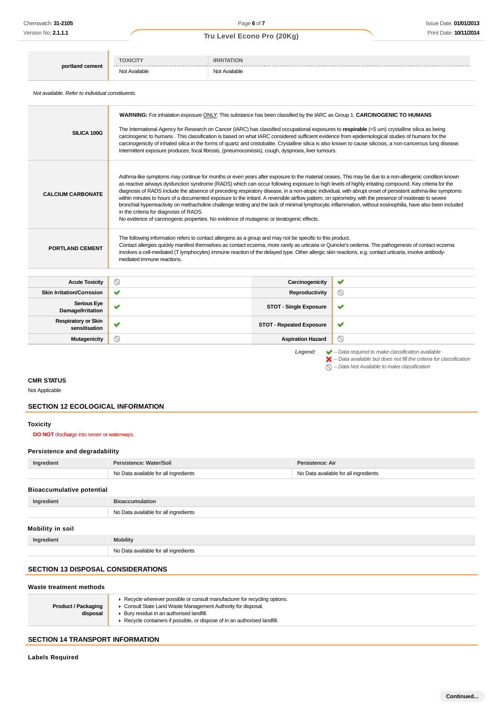– Data Not Available to make classification

| portland cement                                  | <b>TOXICITY</b>                                                                                                                                                                                                                                                                                                                                                                                                                                                                                                                                                                                                                                                                                                                                                                                                                                                                                                                           | <b>IRRITATION</b><br><b><i><u><b>ARRESTSER</b></u></i></b>                                                                                                                                                                                                                                                                                                                                                               |   |  |  |
|--------------------------------------------------|-------------------------------------------------------------------------------------------------------------------------------------------------------------------------------------------------------------------------------------------------------------------------------------------------------------------------------------------------------------------------------------------------------------------------------------------------------------------------------------------------------------------------------------------------------------------------------------------------------------------------------------------------------------------------------------------------------------------------------------------------------------------------------------------------------------------------------------------------------------------------------------------------------------------------------------------|--------------------------------------------------------------------------------------------------------------------------------------------------------------------------------------------------------------------------------------------------------------------------------------------------------------------------------------------------------------------------------------------------------------------------|---|--|--|
|                                                  | Not Available                                                                                                                                                                                                                                                                                                                                                                                                                                                                                                                                                                                                                                                                                                                                                                                                                                                                                                                             | Not Available                                                                                                                                                                                                                                                                                                                                                                                                            |   |  |  |
| Not available. Refer to individual constituents. |                                                                                                                                                                                                                                                                                                                                                                                                                                                                                                                                                                                                                                                                                                                                                                                                                                                                                                                                           |                                                                                                                                                                                                                                                                                                                                                                                                                          |   |  |  |
|                                                  |                                                                                                                                                                                                                                                                                                                                                                                                                                                                                                                                                                                                                                                                                                                                                                                                                                                                                                                                           | WARNING: For inhalation exposure ONLY: This substance has been classified by the IARC as Group 1: CARCINOGENIC TO HUMANS                                                                                                                                                                                                                                                                                                 |   |  |  |
| SILICA 100G                                      | The International Agency for Research on Cancer (IARC) has classified occupational exposures to respirable $(<$ 5 um) crystalline silica as being<br>carcinogenic to humans. This classification is based on what IARC considered sufficient evidence from epidemiological studies of humans for the<br>carcinogenicity of inhaled silica in the forms of quartz and cristobalite. Crystalline silica is also known to cause silicosis, a non-cancerous lung disease.<br>Intermittent exposure produces; focal fibrosis, (pneumoconiosis), cough, dyspnoea, liver tumours.                                                                                                                                                                                                                                                                                                                                                                |                                                                                                                                                                                                                                                                                                                                                                                                                          |   |  |  |
|                                                  | Asthma-like symptoms may continue for months or even years after exposure to the material ceases. This may be due to a non-allergenic condition known<br>as reactive airways dysfunction syndrome (RADS) which can occur following exposure to high levels of highly irritating compound. Key criteria for the<br>diagnosis of RADS include the absence of preceding respiratory disease, in a non-atopic individual, with abrupt onset of persistent asthma-like symptoms<br>within minutes to hours of a documented exposure to the irritant. A reversible airflow pattern, on spirometry, with the presence of moderate to severe<br>bronchial hyperreactivity on methacholine challenge testing and the lack of minimal lymphocytic inflammation, without eosinophilia, have also been included<br>in the criteria for diagnosis of RADS.<br>No evidence of carcinogenic properties. No evidence of mutagenic or teratogenic effects. |                                                                                                                                                                                                                                                                                                                                                                                                                          |   |  |  |
| <b>CALCIUM CARBONATE</b>                         |                                                                                                                                                                                                                                                                                                                                                                                                                                                                                                                                                                                                                                                                                                                                                                                                                                                                                                                                           |                                                                                                                                                                                                                                                                                                                                                                                                                          |   |  |  |
| <b>PORTLAND CEMENT</b>                           | mediated immune reactions.                                                                                                                                                                                                                                                                                                                                                                                                                                                                                                                                                                                                                                                                                                                                                                                                                                                                                                                | The following information refers to contact allergens as a group and may not be specific to this product.<br>Contact allergies quickly manifest themselves as contact eczema, more rarely as urticaria or Quincke's oedema. The pathogenesis of contact eczema<br>involves a cell-mediated (T lymphocytes) immune reaction of the delayed type. Other allergic skin reactions, e.g. contact urticaria, involve antibody- |   |  |  |
| <b>Acute Toxicity</b>                            |                                                                                                                                                                                                                                                                                                                                                                                                                                                                                                                                                                                                                                                                                                                                                                                                                                                                                                                                           | Carcinogenicity                                                                                                                                                                                                                                                                                                                                                                                                          | ✔ |  |  |
| <b>Skin Irritation/Corrosion</b>                 | O<br>✔                                                                                                                                                                                                                                                                                                                                                                                                                                                                                                                                                                                                                                                                                                                                                                                                                                                                                                                                    | Reproductivity                                                                                                                                                                                                                                                                                                                                                                                                           | O |  |  |
| Serious Eye<br>Damage/Irritation                 | ᢦ                                                                                                                                                                                                                                                                                                                                                                                                                                                                                                                                                                                                                                                                                                                                                                                                                                                                                                                                         | <b>STOT - Single Exposure</b>                                                                                                                                                                                                                                                                                                                                                                                            | ✔ |  |  |
| <b>Respiratory or Skin</b><br>sensitisation      | ᢦ                                                                                                                                                                                                                                                                                                                                                                                                                                                                                                                                                                                                                                                                                                                                                                                                                                                                                                                                         | <b>STOT - Repeated Exposure</b>                                                                                                                                                                                                                                                                                                                                                                                          | ✔ |  |  |

**CMR STATUS**

Not Applicable

# **SECTION 12 ECOLOGICAL INFORMATION**

#### **Toxicity**

**DO NOT** discharge into sewer or waterways.

#### **Persistence and degradability**

| Ingredient                       | Persistence: Water/Soil               | Persistence: Air                      |  |
|----------------------------------|---------------------------------------|---------------------------------------|--|
|                                  | No Data available for all ingredients | No Data available for all ingredients |  |
| <b>Bioaccumulative potential</b> |                                       |                                       |  |
| Ingredient                       | <b>Bioaccumulation</b>                |                                       |  |
|                                  | No Data available for all ingredients |                                       |  |
| Mobility in soil                 |                                       |                                       |  |
| Ingredient                       | <b>Mobility</b>                       |                                       |  |
|                                  | No Data available for all ingredients |                                       |  |
|                                  |                                       |                                       |  |

# **SECTION 13 DISPOSAL CONSIDERATIONS**

#### **Waste treatment methods**

| <b>Product / Packaging</b><br>disposal | Recycle wherever possible or consult manufacturer for recycling options.<br>• Consult State Land Waste Management Authority for disposal.<br>▶ Bury residue in an authorised landfill.<br>Recycle containers if possible, or dispose of in an authorised landfill. |
|----------------------------------------|--------------------------------------------------------------------------------------------------------------------------------------------------------------------------------------------------------------------------------------------------------------------|
|                                        |                                                                                                                                                                                                                                                                    |

# **SECTION 14 TRANSPORT INFORMATION**

**Labels Required**